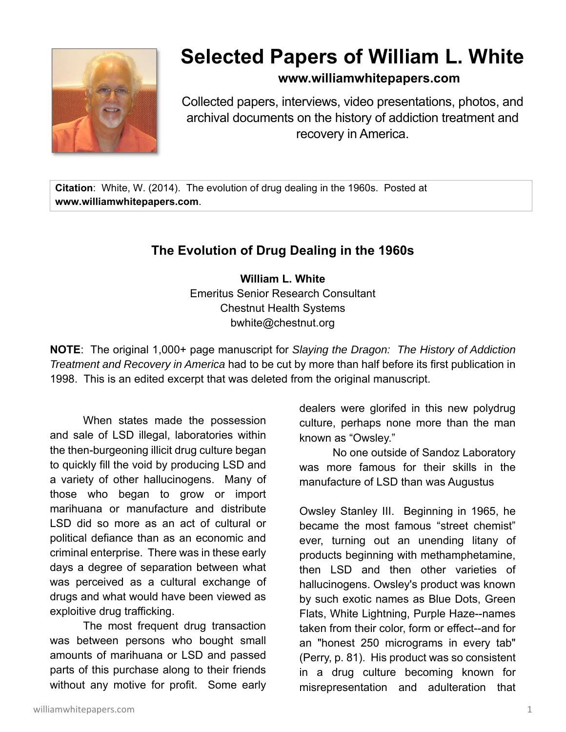

## **Selected Papers of William L. White**

## **www.williamwhitepapers.com**

Collected papers, interviews, video presentations, photos, and archival documents on the history of addiction treatment and recovery in America.

**Citation**: White, W. (2014). The evolution of drug dealing in the 1960s. Posted at **www.williamwhitepapers.com**.

## **The Evolution of Drug Dealing in the 1960s**

**William L. White**  Emeritus Senior Research Consultant Chestnut Health Systems bwhite@chestnut.org

**NOTE**: The original 1,000+ page manuscript for *Slaying the Dragon: The History of Addiction Treatment and Recovery in America* had to be cut by more than half before its first publication in 1998. This is an edited excerpt that was deleted from the original manuscript.

When states made the possession and sale of LSD illegal, laboratories within the then-burgeoning illicit drug culture began to quickly fill the void by producing LSD and a variety of other hallucinogens. Many of those who began to grow or import marihuana or manufacture and distribute LSD did so more as an act of cultural or political defiance than as an economic and criminal enterprise. There was in these early days a degree of separation between what was perceived as a cultural exchange of drugs and what would have been viewed as exploitive drug trafficking.

The most frequent drug transaction was between persons who bought small amounts of marihuana or LSD and passed parts of this purchase along to their friends without any motive for profit. Some early

dealers were glorifed in this new polydrug culture, perhaps none more than the man known as "Owsley."

No one outside of Sandoz Laboratory was more famous for their skills in the manufacture of LSD than was Augustus

Owsley Stanley III. Beginning in 1965, he became the most famous "street chemist" ever, turning out an unending litany of products beginning with methamphetamine, then LSD and then other varieties of hallucinogens. Owsley's product was known by such exotic names as Blue Dots, Green Flats, White Lightning, Purple Haze--names taken from their color, form or effect--and for an "honest 250 micrograms in every tab" (Perry, p. 81). His product was so consistent in a drug culture becoming known for misrepresentation and adulteration that